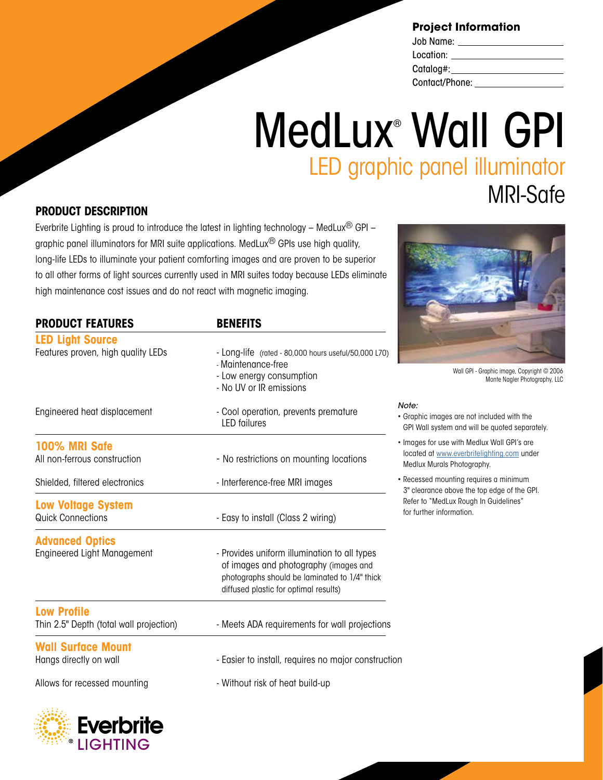### **Project Information**

| Job Name:      |  |
|----------------|--|
| Location:      |  |
| Catalog#:      |  |
| Contact/Phone: |  |

# MedLux® Wall GPI LED graphic panel illuminator MRI-Safe

### **PRODUCT DESCRIPTION**

Everbrite Lighting is proud to introduce the latest in lighting technology – MedLux<sup>®</sup> GPI – graphic panel illuminators for MRI suite applications. MedLux® GPIs use high quality, long-life LEDs to illuminate your patient comforting images and are proven to be superior to all other forms of light sources currently used in MRI suites today because LEDs eliminate high maintenance cost issues and do not react with magnetic imaging.

| <b>PRODUCT FEATURES</b>                                       | <b>BENEFITS</b>                                                                                                                                                                 |
|---------------------------------------------------------------|---------------------------------------------------------------------------------------------------------------------------------------------------------------------------------|
| <b>LED Light Source</b><br>Features proven, high quality LEDs | - Long-life (rated - 80,000 hours useful/50,000 L70)<br>- Maintenance-free<br>- Low energy consumption<br>- No UV or IR emissions                                               |
| Engineered heat displacement                                  | - Cool operation, prevents premature<br><b>LED</b> failures                                                                                                                     |
| <b>100% MRI Safe</b><br>All non-ferrous construction          | - No restrictions on mounting locations                                                                                                                                         |
| Shielded, filtered electronics                                | - Interference-free MRI images                                                                                                                                                  |
| <b>Low Voltage System</b><br><b>Quick Connections</b>         | - Easy to install (Class 2 wiring)                                                                                                                                              |
| <b>Advanced Optics</b><br><b>Engineered Light Management</b>  | - Provides uniform illumination to all types<br>of images and photography (images and<br>photographs should be laminated to 1/4" thick<br>diffused plastic for optimal results) |
| <b>Low Profile</b><br>Thin 2.5" Depth (total wall projection) | - Meets ADA requirements for wall projections                                                                                                                                   |
| <b>Wall Surface Mount</b><br>Hangs directly on wall           | - Easier to install, requires no major construction                                                                                                                             |
| Allows for recessed mounting                                  | - Without risk of heat build-up                                                                                                                                                 |



Wall GPI - Graphic image, Copyright © 2006 Monte Nagler Photography, LLC

*Note:* 

- Graphic images are not included with the GPI Wall system and will be quoted separately.
- Images for use with Medlux Wall GPI's are located at www.everbritelighting.com under Medlux Murals Photography.
- Recessed mounting requires a minimum 3" clearance above the top edge of the GPI. Refer to "MedLux Rough In Guidelines" for further information.

**Everbrite LIGHTING**